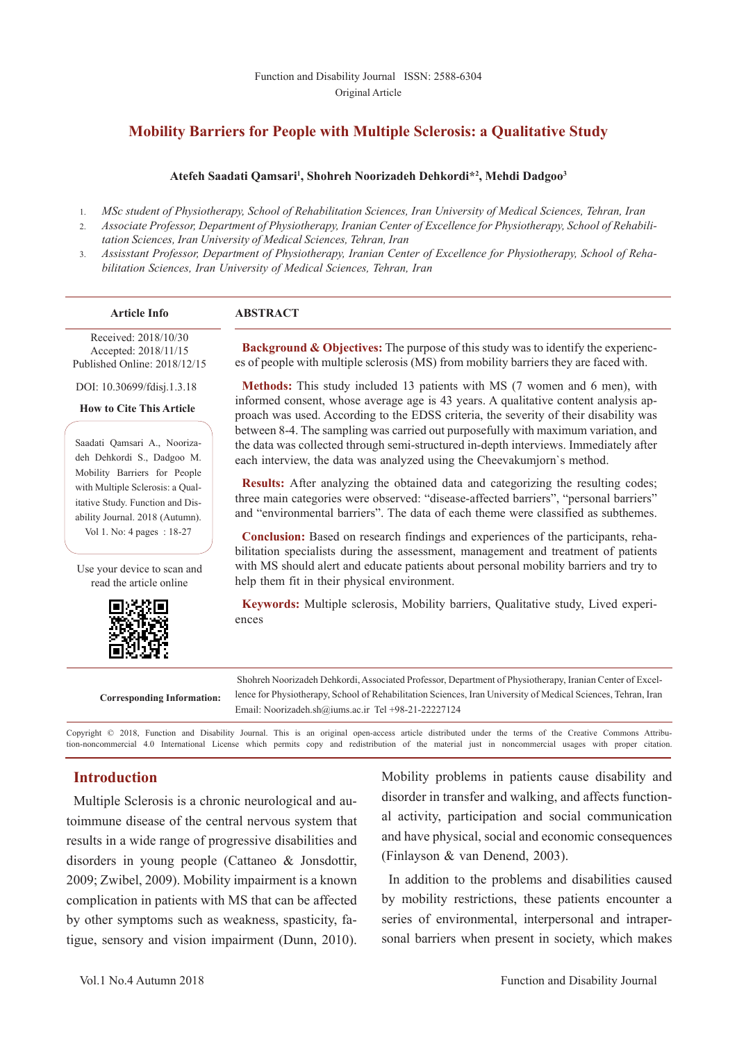### **Mobility Barriers for People with Multiple Sclerosis: a Qualitative Study**

#### **Atefeh Saadati Qamsari1 , Shohreh Noorizadeh Dehkordi\*2 , Mehdi Dadgoo3**

- 1. *MSc student of Physiotherapy, School of Rehabilitation Sciences, Iran University of Medical Sciences, Tehran, Iran*
- 2. *Associate Professor, Department of Physiotherapy, Iranian Center of Excellence for Physiotherapy, School of Rehabilitation Sciences, Iran University of Medical Sciences, Tehran, Iran*
- 3. *Assisstant Professor, Department of Physiotherapy, Iranian Center of Excellence for Physiotherapy, School of Rehabilitation Sciences, Iran University of Medical Sciences, Tehran, Iran*

#### **Article Info ABSTRACT**

 Received: 2018/10/30 Accepted: 2018/11/15 Published Online: 2018/12/15

DOI: 10.30699/fdisj.1.3.18

**How to Cite This Article**

Saadati Qamsari A., Noorizadeh Dehkordi S., Dadgoo M. Mobility Barriers for People with Multiple Sclerosis: a Qualitative Study. Function and Disability Journal. 2018 (Autumn). Vol 1. No: 4 pages : 18-27

Use your device to scan and read the article online



es of people with multiple sclerosis (MS) from mobility barriers they are faced with. **Methods:** This study included 13 patients with MS (7 women and 6 men), with

**Background & Objectives:** The purpose of this study was to identify the experienc-

informed consent, whose average age is 43 years. A qualitative content analysis approach was used. According to the EDSS criteria, the severity of their disability was between 8-4. The sampling was carried out purposefully with maximum variation, and the data was collected through semi-structured in-depth interviews. Immediately after each interview, the data was analyzed using the Cheevakumjorn`s method.

**Results:** After analyzing the obtained data and categorizing the resulting codes; three main categories were observed: "disease-affected barriers", "personal barriers" and "environmental barriers". The data of each theme were classified as subthemes.

**Conclusion:** Based on research findings and experiences of the participants, rehabilitation specialists during the assessment, management and treatment of patients with MS should alert and educate patients about personal mobility barriers and try to help them fit in their physical environment.

**Keywords:** Multiple sclerosis, Mobility barriers, Qualitative study, Lived experiences

**Corresponding Information:**

 Shohreh Noorizadeh Dehkordi, Associated Professor, Department of Physiotherapy, Iranian Center of Excellence for Physiotherapy, School of Rehabilitation Sciences, Iran University of Medical Sciences, Tehran, Iran Email: Noorizadeh.sh@iums.ac.ir Tel +98-21-22227124

Copyright © 2018, Function and Disability Journal. This is an original open-access article distributed under the terms of the Creative Commons Attribution-noncommercial 4.0 International License which permits copy and redistribution of the material just in noncommercial usages with proper citation.

### **Introduction**

Multiple Sclerosis is a chronic neurological and autoimmune disease of the central nervous system that results in a wide range of progressive disabilities and disorders in young people (Cattaneo & Jonsdottir, 2009; Zwibel, 2009). Mobility impairment is a known complication in patients with MS that can be affected by other symptoms such as weakness, spasticity, fatigue, sensory and vision impairment (Dunn, 2010). Mobility problems in patients cause disability and disorder in transfer and walking, and affects functional activity, participation and social communication and have physical, social and economic consequences (Finlayson & van Denend, 2003).

In addition to the problems and disabilities caused by mobility restrictions, these patients encounter a series of environmental, interpersonal and intrapersonal barriers when present in society, which makes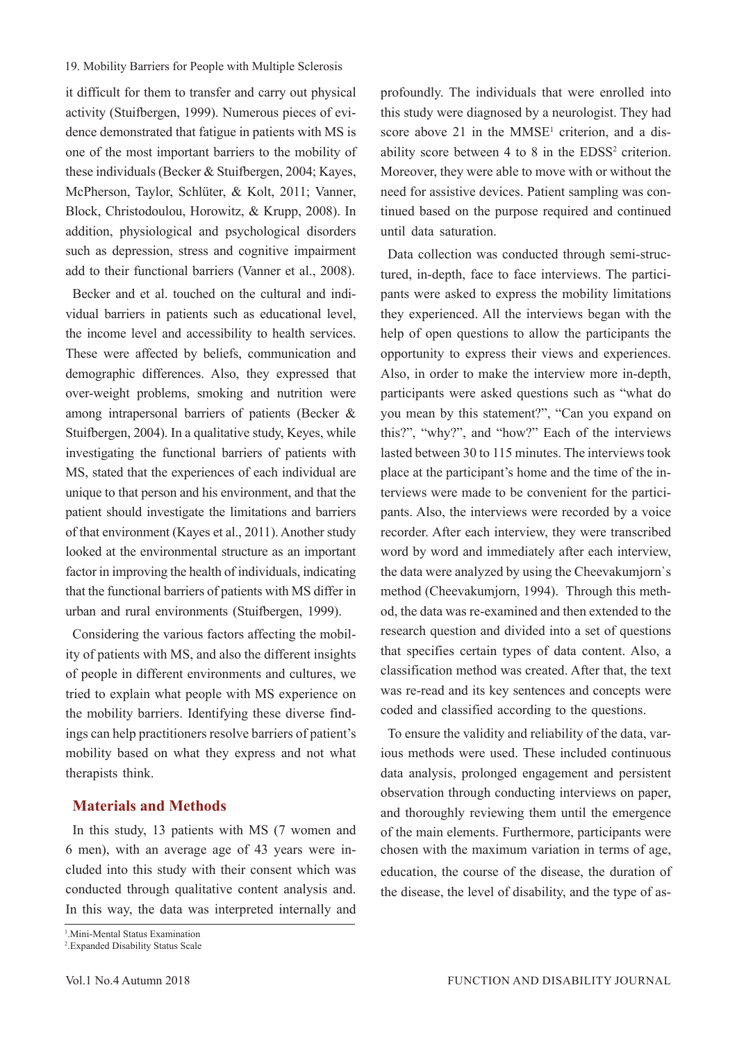it difficult for them to transfer and carry out physical activity (Stuifbergen, 1999). Numerous pieces of evidence demonstrated that fatigue in patients with MS is one of the most important barriers to the mobility of these individuals (Becker & Stuifbergen, 2004; Kayes, McPherson, Taylor, Schlüter, & Kolt, 2011; Vanner, Block, Christodoulou, Horowitz, & Krupp, 2008). In addition, physiological and psychological disorders such as depression, stress and cognitive impairment add to their functional barriers (Vanner et al., 2008).

Becker and et al. touched on the cultural and individual barriers in patients such as educational level, the income level and accessibility to health services. These were affected by beliefs, communication and demographic differences. Also, they expressed that over-weight problems, smoking and nutrition were among intrapersonal barriers of patients (Becker & Stuifbergen, 2004). In a qualitative study, Keyes, while investigating the functional barriers of patients with MS, stated that the experiences of each individual are unique to that person and his environment, and that the patient should investigate the limitations and barriers of that environment (Kayes et al., 2011). Another study looked at the environmental structure as an important factor in improving the health of individuals, indicating that the functional barriers of patients with MS differ in urban and rural environments (Stuifbergen, 1999).

Considering the various factors affecting the mobility of patients with MS, and also the different insights of people in different environments and cultures, we tried to explain what people with MS experience on the mobility barriers. Identifying these diverse findings can help practitioners resolve barriers of patient's mobility based on what they express and not what therapists think.

### **Materials and Methods**

In this study, 13 patients with MS (7 women and 6 men), with an average age of 43 years were included into this study with their consent which was conducted through qualitative content analysis and. In this way, the data was interpreted internally and

2 .Expanded Disability Status Scale

profoundly. The individuals that were enrolled into this study were diagnosed by a neurologist. They had score above 21 in the  $MMSE<sup>1</sup>$  criterion, and a disability score between  $4$  to  $8$  in the EDSS<sup>2</sup> criterion. Moreover, they were able to move with or without the need for assistive devices. Patient sampling was continued based on the purpose required and continued until data saturation.

Data collection was conducted through semi-structured, in-depth, face to face interviews. The participants were asked to express the mobility limitations they experienced. All the interviews began with the help of open questions to allow the participants the opportunity to express their views and experiences. Also, in order to make the interview more in-depth, participants were asked questions such as "what do you mean by this statement?", "Can you expand on this?", "why?", and "how?" Each of the interviews lasted between 30 to 115 minutes. The interviews took place at the participant's home and the time of the interviews were made to be convenient for the participants. Also, the interviews were recorded by a voice recorder. After each interview, they were transcribed word by word and immediately after each interview, the data were analyzed by using the Cheevakumjorn`s method (Cheevakumjorn, 1994). Through this method, the data was re-examined and then extended to the research question and divided into a set of questions that specifies certain types of data content. Also, a classification method was created. After that, the text was re-read and its key sentences and concepts were coded and classified according to the questions.

To ensure the validity and reliability of the data, various methods were used. These included continuous data analysis, prolonged engagement and persistent observation through conducting interviews on paper, and thoroughly reviewing them until the emergence of the main elements. Furthermore, participants were chosen with the maximum variation in terms of age, education, the course of the disease, the duration of the disease, the level of disability, and the type of as-

<sup>1</sup> .Mini-Mental Status Examination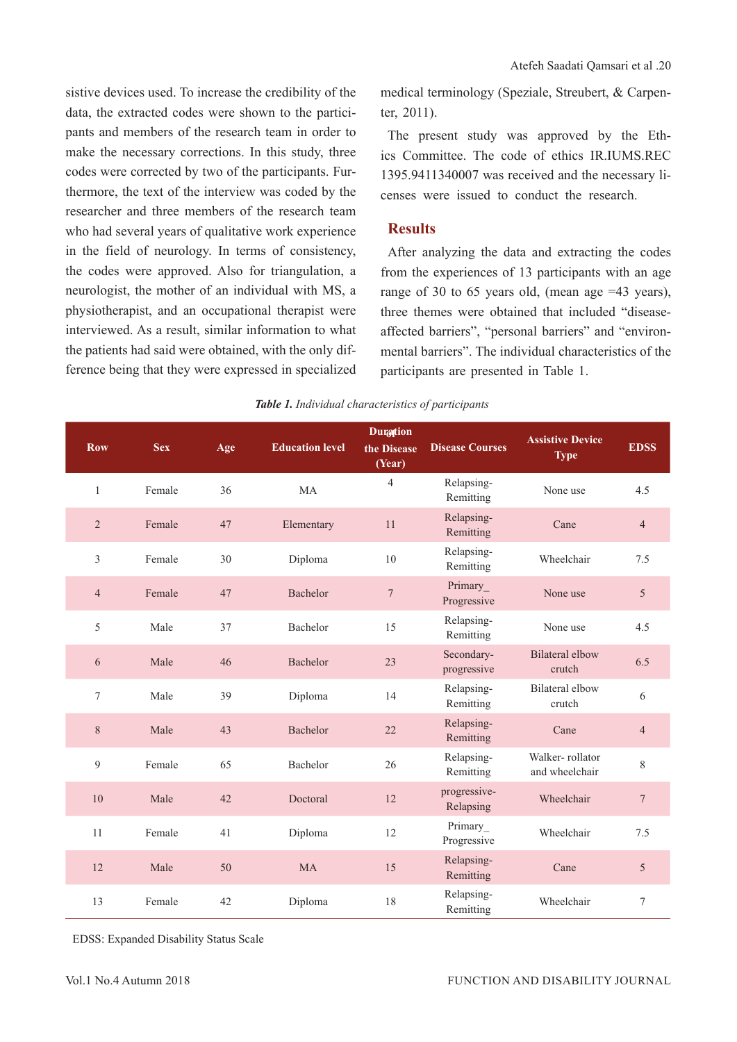sistive devices used. To increase the credibility of the data, the extracted codes were shown to the participants and members of the research team in order to make the necessary corrections. In this study, three codes were corrected by two of the participants. Furthermore, the text of the interview was coded by the researcher and three members of the research team who had several years of qualitative work experience in the field of neurology. In terms of consistency, the codes were approved. Also for triangulation, a neurologist, the mother of an individual with MS, a physiotherapist, and an occupational therapist were interviewed. As a result, similar information to what the patients had said were obtained, with the only difference being that they were expressed in specialized

medical terminology (Speziale, Streubert, & Carpenter, 2011).

The present study was approved by the Ethics Committee. The code of ethics IR.IUMS.REC 1395.9411340007 was received and the necessary licenses were issued to conduct the research.

#### **Results**

After analyzing the data and extracting the codes from the experiences of 13 participants with an age range of 30 to 65 years old, (mean age =43 years), three themes were obtained that included "diseaseaffected barriers", "personal barriers" and "environmental barriers". The individual characteristics of the participants are presented in Table 1.

| <b>Row</b>     | <b>Sex</b> | Age | <b>Education level</b> | <b>Duration</b><br>the Disease<br>(Year) | <b>Disease Courses</b>    | <b>Assistive Device</b><br><b>Type</b> | <b>EDSS</b>     |
|----------------|------------|-----|------------------------|------------------------------------------|---------------------------|----------------------------------------|-----------------|
| $\,1\,$        | Female     | 36  | MA                     | $\overline{4}$                           | Relapsing-<br>Remitting   | None use                               | 4.5             |
| $\overline{2}$ | Female     | 47  | Elementary             | 11                                       | Relapsing-<br>Remitting   | Cane                                   | $\overline{4}$  |
| 3              | Female     | 30  | Diploma                | $10\,$                                   | Relapsing-<br>Remitting   | Wheelchair                             | 7.5             |
| $\overline{4}$ | Female     | 47  | Bachelor               | $\boldsymbol{7}$                         | Primary_<br>Progressive   | None use                               | 5               |
| 5              | Male       | 37  | Bachelor               | 15                                       | Relapsing-<br>Remitting   | None use                               | 4.5             |
| 6              | Male       | 46  | Bachelor               | 23                                       | Secondary-<br>progressive | <b>Bilateral</b> elbow<br>crutch       | 6.5             |
| 7              | Male       | 39  | Diploma                | 14                                       | Relapsing-<br>Remitting   | <b>Bilateral</b> elbow<br>crutch       | 6               |
| 8              | Male       | 43  | Bachelor               | 22                                       | Relapsing-<br>Remitting   | Cane                                   | $\overline{4}$  |
| 9              | Female     | 65  | Bachelor               | 26                                       | Relapsing-<br>Remitting   | Walker-rollator<br>and wheelchair      | 8               |
| 10             | Male       | 42  | Doctoral               | 12                                       | progressive-<br>Relapsing | Wheelchair                             | $\overline{7}$  |
| 11             | Female     | 41  | Diploma                | 12                                       | Primary<br>Progressive    | Wheelchair                             | 7.5             |
| 12             | Male       | 50  | MA                     | 15                                       | Relapsing-<br>Remitting   | Cane                                   | $5\overline{)}$ |
| 13             | Female     | 42  | Diploma                | 18                                       | Relapsing-<br>Remitting   | Wheelchair                             | $\tau$          |

*Table 1. Individual characteristics of participants*

EDSS: Expanded Disability Status Scale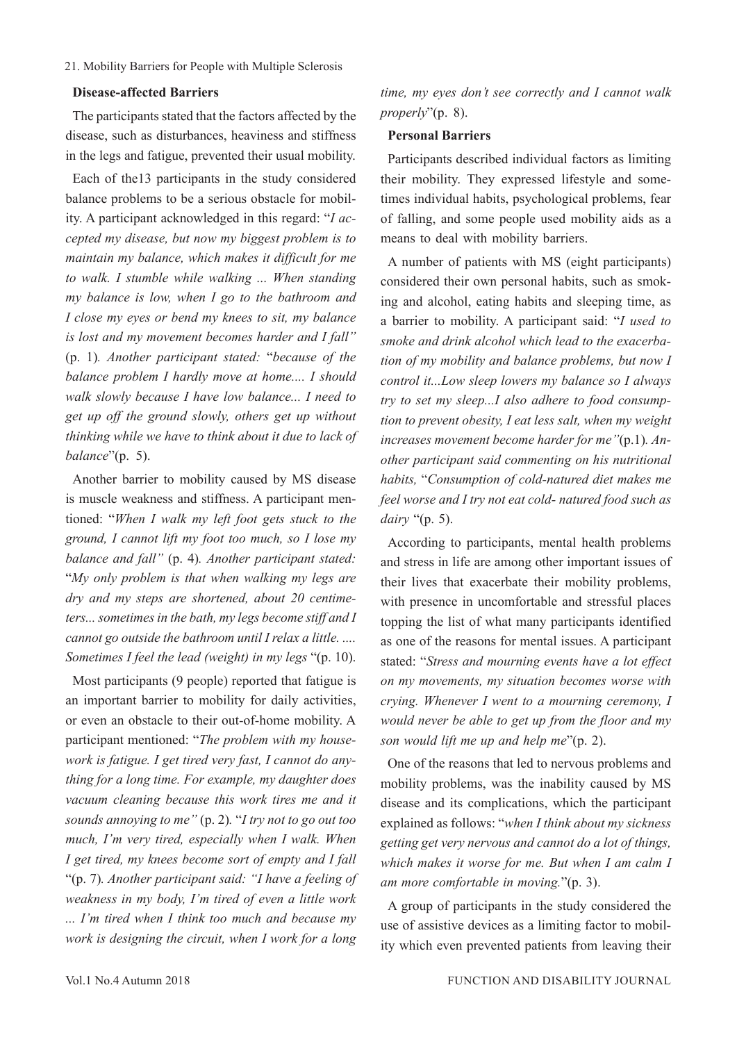#### **Disease-affected Barriers**

The participants stated that the factors affected by the disease, such as disturbances, heaviness and stiffness in the legs and fatigue, prevented their usual mobility.

Each of the13 participants in the study considered balance problems to be a serious obstacle for mobility. A participant acknowledged in this regard: "*I accepted my disease, but now my biggest problem is to maintain my balance, which makes it difficult for me to walk. I stumble while walking ... When standing my balance is low, when I go to the bathroom and I close my eyes or bend my knees to sit, my balance is lost and my movement becomes harder and I fall"*  (p. 1)*. Another participant stated:* "*because of the balance problem I hardly move at home.... I should walk slowly because I have low balance... I need to get up off the ground slowly, others get up without thinking while we have to think about it due to lack of balance*"(p. 5).

Another barrier to mobility caused by MS disease is muscle weakness and stiffness. A participant mentioned: "*When I walk my left foot gets stuck to the ground, I cannot lift my foot too much, so I lose my balance and fall"* (p. 4)*. Another participant stated:*  "*My only problem is that when walking my legs are dry and my steps are shortened, about 20 centimeters... sometimes in the bath, my legs become stiff and I cannot go outside the bathroom until I relax a little. .... Sometimes I feel the lead (weight) in my legs* "(p. 10).

Most participants (9 people) reported that fatigue is an important barrier to mobility for daily activities, or even an obstacle to their out-of-home mobility. A participant mentioned: "*The problem with my housework is fatigue. I get tired very fast, I cannot do anything for a long time. For example, my daughter does vacuum cleaning because this work tires me and it sounds annoying to me"* (p. 2)*.* "*I try not to go out too much, I'm very tired, especially when I walk. When I get tired, my knees become sort of empty and I fall*  "(p. 7)*. Another participant said: "I have a feeling of weakness in my body, I'm tired of even a little work ... I'm tired when I think too much and because my work is designing the circuit, when I work for a long* 

*time, my eyes don't see correctly and I cannot walk properly*"(p. 8).

#### **Personal Barriers**

Participants described individual factors as limiting their mobility. They expressed lifestyle and sometimes individual habits, psychological problems, fear of falling, and some people used mobility aids as a means to deal with mobility barriers.

A number of patients with MS (eight participants) considered their own personal habits, such as smoking and alcohol, eating habits and sleeping time, as a barrier to mobility. A participant said: "*I used to smoke and drink alcohol which lead to the exacerbation of my mobility and balance problems, but now I control it...Low sleep lowers my balance so I always try to set my sleep...I also adhere to food consumption to prevent obesity, I eat less salt, when my weight increases movement become harder for me"*(p.1)*. Another participant said commenting on his nutritional habits,* "*Consumption of cold-natured diet makes me feel worse and I try not eat cold- natured food such as dairy* "(p. 5).

According to participants, mental health problems and stress in life are among other important issues of their lives that exacerbate their mobility problems, with presence in uncomfortable and stressful places topping the list of what many participants identified as one of the reasons for mental issues. A participant stated: "*Stress and mourning events have a lot effect on my movements, my situation becomes worse with crying. Whenever I went to a mourning ceremony, I would never be able to get up from the floor and my son would lift me up and help me*"(p. 2).

One of the reasons that led to nervous problems and mobility problems, was the inability caused by MS disease and its complications, which the participant explained as follows: "*when I think about my sickness getting get very nervous and cannot do a lot of things, which makes it worse for me. But when I am calm I am more comfortable in moving.*"(p. 3).

A group of participants in the study considered the use of assistive devices as a limiting factor to mobility which even prevented patients from leaving their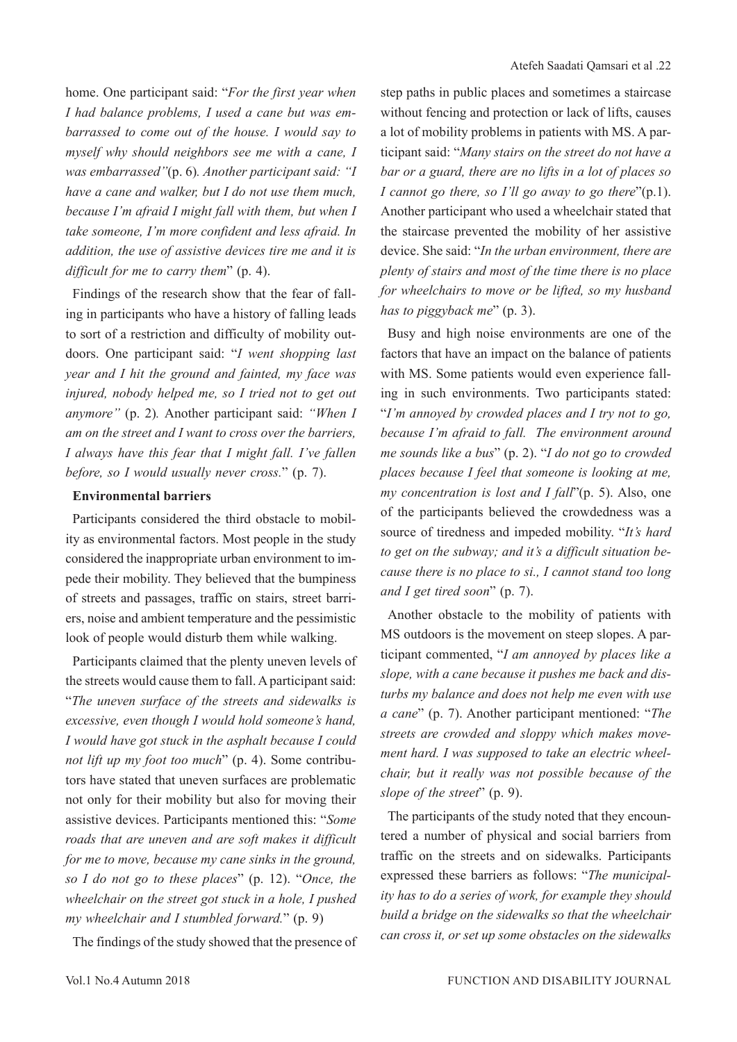home. One participant said: "*For the first year when I had balance problems, I used a cane but was embarrassed to come out of the house. I would say to myself why should neighbors see me with a cane, I was embarrassed"*(p. 6)*. Another participant said: "I have a cane and walker, but I do not use them much, because I'm afraid I might fall with them, but when I take someone, I'm more confident and less afraid. In addition, the use of assistive devices tire me and it is difficult for me to carry them*" (p. 4).

Findings of the research show that the fear of falling in participants who have a history of falling leads to sort of a restriction and difficulty of mobility outdoors. One participant said: "*I went shopping last year and I hit the ground and fainted, my face was injured, nobody helped me, so I tried not to get out anymore"* (p. 2)*.* Another participant said: *"When I am on the street and I want to cross over the barriers, I always have this fear that I might fall. I've fallen before, so I would usually never cross.*" (p. 7).

### **Environmental barriers**

Participants considered the third obstacle to mobility as environmental factors. Most people in the study considered the inappropriate urban environment to impede their mobility. They believed that the bumpiness of streets and passages, traffic on stairs, street barriers, noise and ambient temperature and the pessimistic look of people would disturb them while walking.

Participants claimed that the plenty uneven levels of the streets would cause them to fall. A participant said: "*The uneven surface of the streets and sidewalks is excessive, even though I would hold someone's hand, I would have got stuck in the asphalt because I could not lift up my foot too much*" (p. 4). Some contributors have stated that uneven surfaces are problematic not only for their mobility but also for moving their assistive devices. Participants mentioned this: "*Some roads that are uneven and are soft makes it difficult for me to move, because my cane sinks in the ground, so I do not go to these places*" (p. 12). "*Once, the wheelchair on the street got stuck in a hole, I pushed my wheelchair and I stumbled forward.*" (p. 9)

The findings of the study showed that the presence of

step paths in public places and sometimes a staircase without fencing and protection or lack of lifts, causes a lot of mobility problems in patients with MS. A participant said: "*Many stairs on the street do not have a bar or a guard, there are no lifts in a lot of places so I cannot go there, so I'll go away to go there*"(p.1). Another participant who used a wheelchair stated that the staircase prevented the mobility of her assistive device. She said: "*In the urban environment, there are plenty of stairs and most of the time there is no place for wheelchairs to move or be lifted, so my husband has to piggyback me*" (p. 3).

Busy and high noise environments are one of the factors that have an impact on the balance of patients with MS. Some patients would even experience falling in such environments. Two participants stated: "*I'm annoyed by crowded places and I try not to go, because I'm afraid to fall. The environment around me sounds like a bus*" (p. 2). "*I do not go to crowded places because I feel that someone is looking at me, my concentration is lost and I fall*"(p. 5). Also, one of the participants believed the crowdedness was a source of tiredness and impeded mobility. "*It's hard to get on the subway; and it's a difficult situation because there is no place to si., I cannot stand too long and I get tired soon*" (p. 7).

Another obstacle to the mobility of patients with MS outdoors is the movement on steep slopes. A participant commented, "*I am annoyed by places like a slope, with a cane because it pushes me back and disturbs my balance and does not help me even with use a cane*" (p. 7). Another participant mentioned: "*The streets are crowded and sloppy which makes movement hard. I was supposed to take an electric wheelchair, but it really was not possible because of the slope of the street*" (p. 9).

The participants of the study noted that they encountered a number of physical and social barriers from traffic on the streets and on sidewalks. Participants expressed these barriers as follows: "*The municipality has to do a series of work, for example they should build a bridge on the sidewalks so that the wheelchair can cross it, or set up some obstacles on the sidewalks*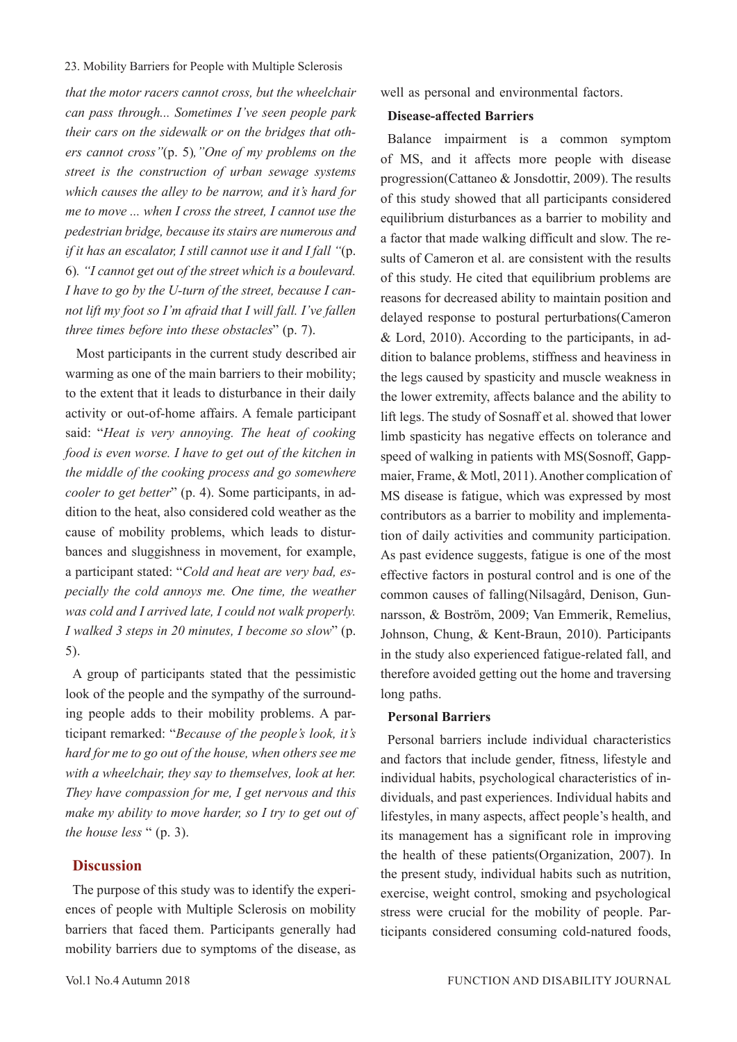*that the motor racers cannot cross, but the wheelchair can pass through... Sometimes I've seen people park their cars on the sidewalk or on the bridges that others cannot cross"*(p. 5)*,"One of my problems on the street is the construction of urban sewage systems which causes the alley to be narrow, and it's hard for me to move ... when I cross the street, I cannot use the pedestrian bridge, because its stairs are numerous and if it has an escalator, I still cannot use it and I fall "*(p. 6)*. "I cannot get out of the street which is a boulevard. I have to go by the U-turn of the street, because I cannot lift my foot so I'm afraid that I will fall. I've fallen three times before into these obstacles*" (p. 7).

 Most participants in the current study described air warming as one of the main barriers to their mobility; to the extent that it leads to disturbance in their daily activity or out-of-home affairs. A female participant said: "*Heat is very annoying. The heat of cooking food is even worse. I have to get out of the kitchen in the middle of the cooking process and go somewhere cooler to get better*" (p. 4). Some participants, in addition to the heat, also considered cold weather as the cause of mobility problems, which leads to disturbances and sluggishness in movement, for example, a participant stated: "*Cold and heat are very bad, especially the cold annoys me. One time, the weather was cold and I arrived late, I could not walk properly. I walked 3 steps in 20 minutes, I become so slow*" (p. 5).

A group of participants stated that the pessimistic look of the people and the sympathy of the surrounding people adds to their mobility problems. A participant remarked: "*Because of the people's look, it's hard for me to go out of the house, when others see me with a wheelchair, they say to themselves, look at her. They have compassion for me, I get nervous and this make my ability to move harder, so I try to get out of the house less* " (p. 3).

### **Discussion**

The purpose of this study was to identify the experiences of people with Multiple Sclerosis on mobility barriers that faced them. Participants generally had mobility barriers due to symptoms of the disease, as

well as personal and environmental factors.

### **Disease-affected Barriers**

Balance impairment is a common symptom of MS, and it affects more people with disease progression(Cattaneo & Jonsdottir, 2009). The results of this study showed that all participants considered equilibrium disturbances as a barrier to mobility and a factor that made walking difficult and slow. The results of Cameron et al. are consistent with the results of this study. He cited that equilibrium problems are reasons for decreased ability to maintain position and delayed response to postural perturbations(Cameron & Lord, 2010). According to the participants, in addition to balance problems, stiffness and heaviness in the legs caused by spasticity and muscle weakness in the lower extremity, affects balance and the ability to lift legs. The study of Sosnaff et al. showed that lower limb spasticity has negative effects on tolerance and speed of walking in patients with MS(Sosnoff, Gappmaier, Frame, & Motl, 2011). Another complication of MS disease is fatigue, which was expressed by most contributors as a barrier to mobility and implementation of daily activities and community participation. As past evidence suggests, fatigue is one of the most effective factors in postural control and is one of the common causes of falling(Nilsagård, Denison, Gunnarsson, & Boström, 2009; Van Emmerik, Remelius, Johnson, Chung, & Kent-Braun, 2010). Participants in the study also experienced fatigue-related fall, and therefore avoided getting out the home and traversing long paths.

#### **Personal Barriers**

Personal barriers include individual characteristics and factors that include gender, fitness, lifestyle and individual habits, psychological characteristics of individuals, and past experiences. Individual habits and lifestyles, in many aspects, affect people's health, and its management has a significant role in improving the health of these patients(Organization, 2007). In the present study, individual habits such as nutrition, exercise, weight control, smoking and psychological stress were crucial for the mobility of people. Participants considered consuming cold-natured foods,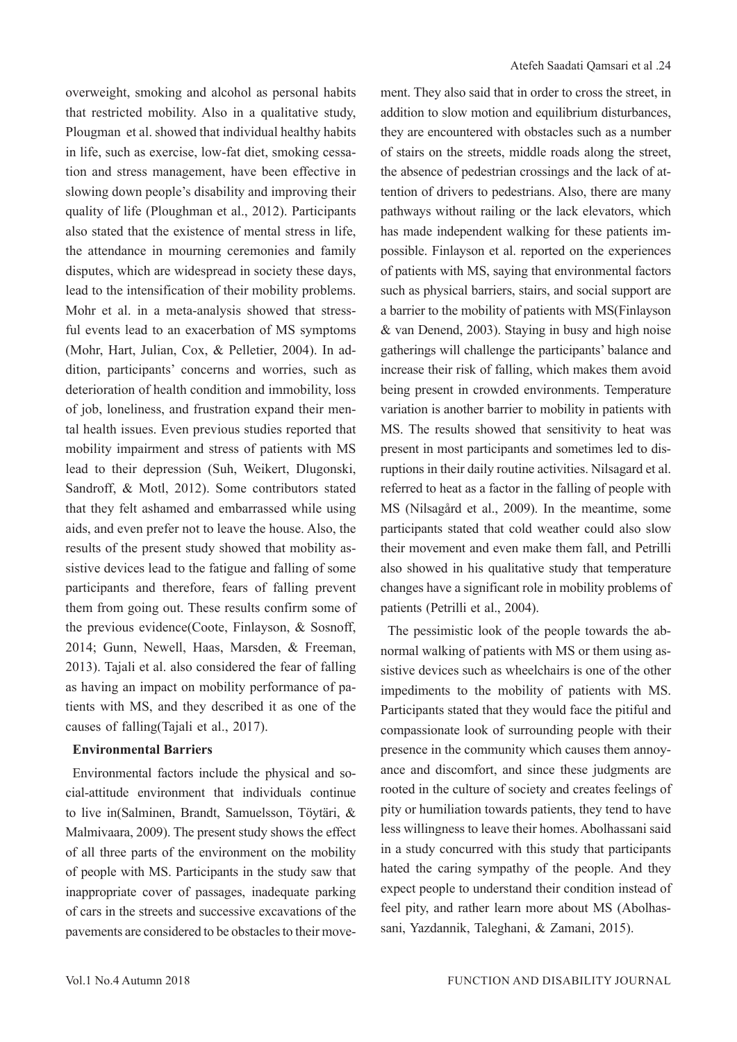overweight, smoking and alcohol as personal habits that restricted mobility. Also in a qualitative study, Plougman et al. showed that individual healthy habits in life, such as exercise, low-fat diet, smoking cessation and stress management, have been effective in slowing down people's disability and improving their quality of life (Ploughman et al., 2012). Participants also stated that the existence of mental stress in life, the attendance in mourning ceremonies and family disputes, which are widespread in society these days, lead to the intensification of their mobility problems. Mohr et al. in a meta-analysis showed that stressful events lead to an exacerbation of MS symptoms (Mohr, Hart, Julian, Cox, & Pelletier, 2004). In addition, participants' concerns and worries, such as deterioration of health condition and immobility, loss of job, loneliness, and frustration expand their mental health issues. Even previous studies reported that mobility impairment and stress of patients with MS lead to their depression (Suh, Weikert, Dlugonski, Sandroff, & Motl, 2012). Some contributors stated that they felt ashamed and embarrassed while using aids, and even prefer not to leave the house. Also, the results of the present study showed that mobility assistive devices lead to the fatigue and falling of some participants and therefore, fears of falling prevent them from going out. These results confirm some of the previous evidence(Coote, Finlayson, & Sosnoff, 2014; Gunn, Newell, Haas, Marsden, & Freeman, 2013). Tajali et al. also considered the fear of falling as having an impact on mobility performance of patients with MS, and they described it as one of the causes of falling(Tajali et al., 2017).

#### **Environmental Barriers**

Environmental factors include the physical and social-attitude environment that individuals continue to live in(Salminen, Brandt, Samuelsson, Töytäri, & Malmivaara, 2009). The present study shows the effect of all three parts of the environment on the mobility of people with MS. Participants in the study saw that inappropriate cover of passages, inadequate parking of cars in the streets and successive excavations of the pavements are considered to be obstacles to their movement. They also said that in order to cross the street, in addition to slow motion and equilibrium disturbances, they are encountered with obstacles such as a number of stairs on the streets, middle roads along the street, the absence of pedestrian crossings and the lack of attention of drivers to pedestrians. Also, there are many pathways without railing or the lack elevators, which has made independent walking for these patients impossible. Finlayson et al. reported on the experiences of patients with MS, saying that environmental factors such as physical barriers, stairs, and social support are a barrier to the mobility of patients with MS(Finlayson & van Denend, 2003). Staying in busy and high noise gatherings will challenge the participants' balance and increase their risk of falling, which makes them avoid being present in crowded environments. Temperature variation is another barrier to mobility in patients with MS. The results showed that sensitivity to heat was present in most participants and sometimes led to disruptions in their daily routine activities. Nilsagard et al. referred to heat as a factor in the falling of people with MS (Nilsagård et al., 2009). In the meantime, some participants stated that cold weather could also slow their movement and even make them fall, and Petrilli also showed in his qualitative study that temperature changes have a significant role in mobility problems of patients (Petrilli et al., 2004).

The pessimistic look of the people towards the abnormal walking of patients with MS or them using assistive devices such as wheelchairs is one of the other impediments to the mobility of patients with MS. Participants stated that they would face the pitiful and compassionate look of surrounding people with their presence in the community which causes them annoyance and discomfort, and since these judgments are rooted in the culture of society and creates feelings of pity or humiliation towards patients, they tend to have less willingness to leave their homes. Abolhassani said in a study concurred with this study that participants hated the caring sympathy of the people. And they expect people to understand their condition instead of feel pity, and rather learn more about MS (Abolhassani, Yazdannik, Taleghani, & Zamani, 2015).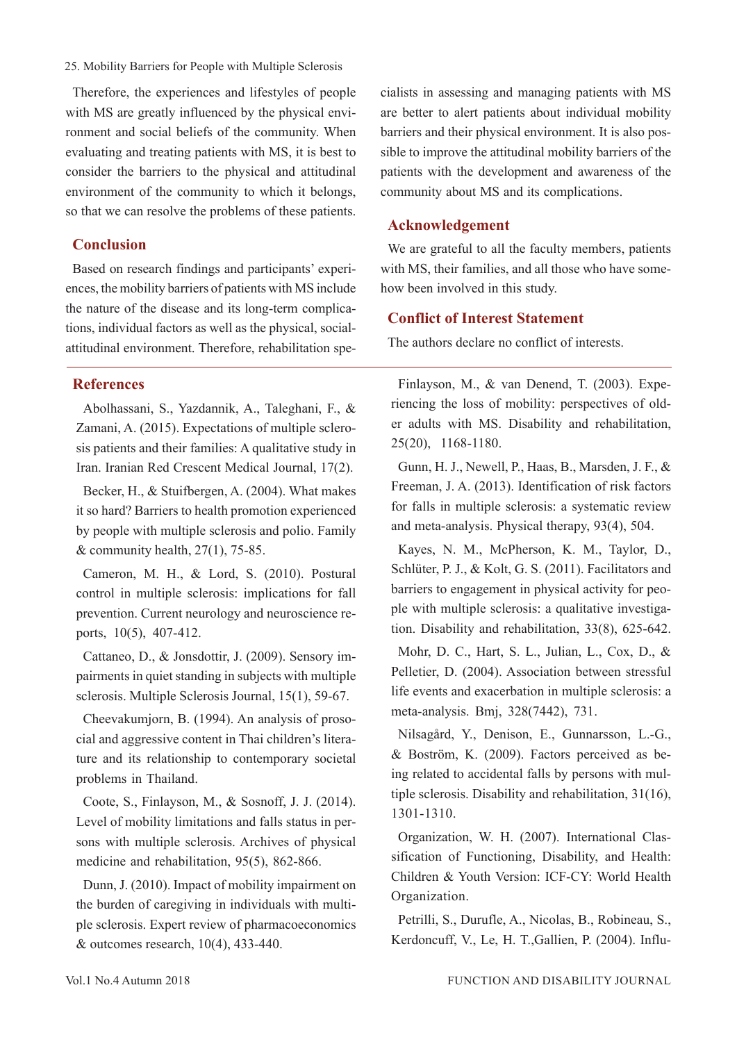Therefore, the experiences and lifestyles of people with MS are greatly influenced by the physical environment and social beliefs of the community. When evaluating and treating patients with MS, it is best to consider the barriers to the physical and attitudinal environment of the community to which it belongs, so that we can resolve the problems of these patients.

### **Conclusion**

Based on research findings and participants' experiences, the mobility barriers of patients with MS include the nature of the disease and its long-term complications, individual factors as well as the physical, socialattitudinal environment. Therefore, rehabilitation spe-

### **References**

Abolhassani, S., Yazdannik, A., Taleghani, F., & Zamani, A. (2015). Expectations of multiple sclerosis patients and their families: A qualitative study in Iran. Iranian Red Crescent Medical Journal, 17(2).

Becker, H., & Stuifbergen, A. (2004). What makes it so hard? Barriers to health promotion experienced by people with multiple sclerosis and polio. Family & community health,  $27(1)$ , 75-85.

Cameron, M. H., & Lord, S. (2010). Postural control in multiple sclerosis: implications for fall prevention. Current neurology and neuroscience reports, 10(5), 407-412.

Cattaneo, D., & Jonsdottir, J. (2009). Sensory impairments in quiet standing in subjects with multiple sclerosis. Multiple Sclerosis Journal, 15(1), 59-67.

Cheevakumjorn, B. (1994). An analysis of prosocial and aggressive content in Thai children's literature and its relationship to contemporary societal problems in Thailand.

Coote, S., Finlayson, M., & Sosnoff, J. J. (2014). Level of mobility limitations and falls status in persons with multiple sclerosis. Archives of physical medicine and rehabilitation, 95(5), 862-866.

Dunn, J. (2010). Impact of mobility impairment on the burden of caregiving in individuals with multiple sclerosis. Expert review of pharmacoeconomics & outcomes research, 10(4), 433-440.

cialists in assessing and managing patients with MS are better to alert patients about individual mobility barriers and their physical environment. It is also possible to improve the attitudinal mobility barriers of the patients with the development and awareness of the community about MS and its complications.

### **Acknowledgement**

We are grateful to all the faculty members, patients with MS, their families, and all those who have somehow been involved in this study.

## **Conflict of Interest Statement**

The authors declare no conflict of interests.

Finlayson, M., & van Denend, T. (2003). Experiencing the loss of mobility: perspectives of older adults with MS. Disability and rehabilitation, 25(20), 1168-1180.

Gunn, H. J., Newell, P., Haas, B., Marsden, J. F., & Freeman, J. A. (2013). Identification of risk factors for falls in multiple sclerosis: a systematic review and meta-analysis. Physical therapy, 93(4), 504.

Kayes, N. M., McPherson, K. M., Taylor, D., Schlüter, P. J., & Kolt, G. S. (2011). Facilitators and barriers to engagement in physical activity for people with multiple sclerosis: a qualitative investigation. Disability and rehabilitation, 33(8), 625-642.

Mohr, D. C., Hart, S. L., Julian, L., Cox, D., & Pelletier, D. (2004). Association between stressful life events and exacerbation in multiple sclerosis: a meta-analysis. Bmj, 328(7442), 731.

Nilsagård, Y., Denison, E., Gunnarsson, L.-G., & Boström, K. (2009). Factors perceived as being related to accidental falls by persons with multiple sclerosis. Disability and rehabilitation, 31(16), 1301-1310.

Organization, W. H. (2007). International Classification of Functioning, Disability, and Health: Children & Youth Version: ICF-CY: World Health Organization.

Petrilli, S., Durufle, A., Nicolas, B., Robineau, S., Kerdoncuff, V., Le, H. T.,Gallien, P. (2004). Influ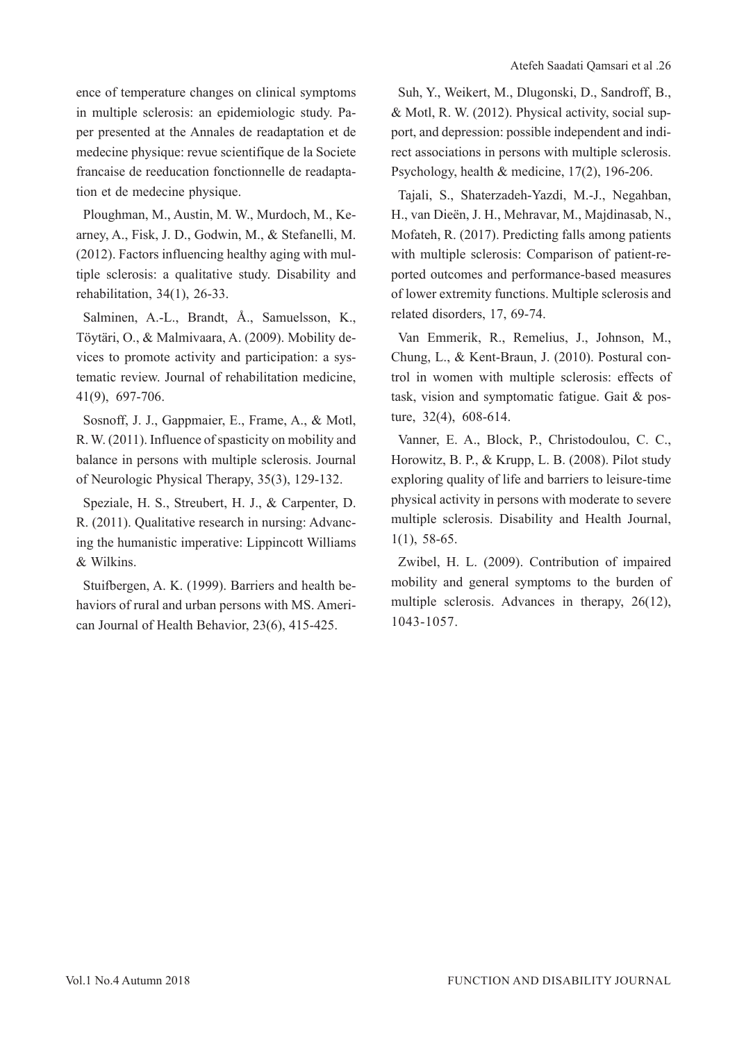ence of temperature changes on clinical symptoms in multiple sclerosis: an epidemiologic study. Paper presented at the Annales de readaptation et de medecine physique: revue scientifique de la Societe francaise de reeducation fonctionnelle de readaptation et de medecine physique.

Ploughman, M., Austin, M. W., Murdoch, M., Kearney, A., Fisk, J. D., Godwin, M., & Stefanelli, M. (2012). Factors influencing healthy aging with multiple sclerosis: a qualitative study. Disability and rehabilitation, 34(1), 26-33.

Salminen, A.-L., Brandt, Å., Samuelsson, K., Töytäri, O., & Malmivaara, A. (2009). Mobility devices to promote activity and participation: a systematic review. Journal of rehabilitation medicine, 41(9), 697-706.

Sosnoff, J. J., Gappmaier, E., Frame, A., & Motl, R. W. (2011). Influence of spasticity on mobility and balance in persons with multiple sclerosis. Journal of Neurologic Physical Therapy, 35(3), 129-132.

Speziale, H. S., Streubert, H. J., & Carpenter, D. R. (2011). Qualitative research in nursing: Advancing the humanistic imperative: Lippincott Williams & Wilkins.

Stuifbergen, A. K. (1999). Barriers and health behaviors of rural and urban persons with MS. American Journal of Health Behavior, 23(6), 415-425.

Suh, Y., Weikert, M., Dlugonski, D., Sandroff, B., & Motl, R. W. (2012). Physical activity, social support, and depression: possible independent and indirect associations in persons with multiple sclerosis. Psychology, health & medicine, 17(2), 196-206.

Tajali, S., Shaterzadeh-Yazdi, M.-J., Negahban, H., van Dieën, J. H., Mehravar, M., Majdinasab, N., Mofateh, R. (2017). Predicting falls among patients with multiple sclerosis: Comparison of patient-reported outcomes and performance-based measures of lower extremity functions. Multiple sclerosis and related disorders, 17, 69-74.

Van Emmerik, R., Remelius, J., Johnson, M., Chung, L., & Kent-Braun, J. (2010). Postural control in women with multiple sclerosis: effects of task, vision and symptomatic fatigue. Gait & posture, 32(4), 608-614.

Vanner, E. A., Block, P., Christodoulou, C. C., Horowitz, B. P., & Krupp, L. B. (2008). Pilot study exploring quality of life and barriers to leisure-time physical activity in persons with moderate to severe multiple sclerosis. Disability and Health Journal, 1(1), 58-65.

Zwibel, H. L. (2009). Contribution of impaired mobility and general symptoms to the burden of multiple sclerosis. Advances in therapy, 26(12), 1043-1057.